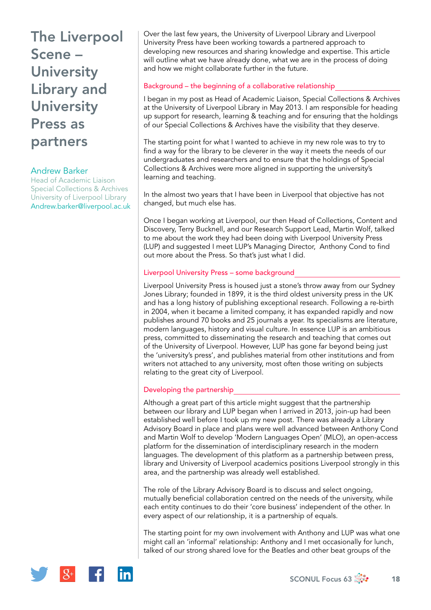# The Liverpool Scene – **University** Library and **University** Press as partners

## Andrew Barker

Head of Academic Liaison Special Collections & Archives University of Liverpool Library [Andrew.barker@liverpool.ac.uk](mailto:Andrew.barker@liverpool.ac.uk)

Over the last few years, the University of Liverpool Library and Liverpool University Press have been working towards a partnered approach to developing new resources and sharing knowledge and expertise. This article will outline what we have already done, what we are in the process of doing and how we might collaborate further in the future.

### Background – the beginning of a collaborative relationship

I began in my post as Head of Academic Liaison, Special Collections & Archives at the University of Liverpool Library in May 2013. I am responsible for heading up support for research, learning & teaching and for ensuring that the holdings of our Special Collections & Archives have the visibility that they deserve.

The starting point for what I wanted to achieve in my new role was to try to find a way for the library to be cleverer in the way it meets the needs of our undergraduates and researchers and to ensure that the holdings of Special Collections & Archives were more aligned in supporting the university's learning and teaching.

In the almost two years that I have been in Liverpool that objective has not changed, but much else has.

Once I began working at Liverpool, our then Head of Collections, Content and Discovery, Terry Bucknell, and our Research Support Lead, Martin Wolf, talked to me about the work they had been doing with Liverpool University Press (LUP) and suggested I meet LUP's Managing Director, Anthony Cond to find out more about the Press. So that's just what I did.

#### Liverpool University Press – some background

Liverpool University Press is housed just a stone's throw away from our Sydney Jones Library; founded in 1899, it is the third oldest university press in the UK and has a long history of publishing exceptional research. Following a re-birth in 2004, when it became a limited company, it has expanded rapidly and now publishes around 70 books and 25 journals a year. Its specialisms are literature, modern languages, history and visual culture. In essence LUP is an ambitious press, committed to disseminating the research and teaching that comes out of the University of Liverpool. However, LUP has gone far beyond being just the 'university's press', and publishes material from other institutions and from writers not attached to any university, most often those writing on subjects relating to the great city of Liverpool.

#### Developing the partnership

Although a great part of this article might suggest that the partnership between our library and LUP began when I arrived in 2013, join-up had been established well before I took up my new post. There was already a Library Advisory Board in place and plans were well advanced between Anthony Cond and Martin Wolf to develop 'Modern Languages Open' (MLO), an open-access platform for the dissemination of interdisciplinary research in the modern languages. The development of this platform as a partnership between press, library and University of Liverpool academics positions Liverpool strongly in this area, and the partnership was already well established.

The role of the Library Advisory Board is to discuss and select ongoing, mutually beneficial collaboration centred on the needs of the university, while each entity continues to do their 'core business' independent of the other. In every aspect of our relationship, it is a partnership of equals.

The starting point for my own involvement with Anthony and LUP was what one might call an 'informal' relationship: Anthony and I met occasionally for lunch, talked of our strong shared love for the Beatles and other beat groups of the

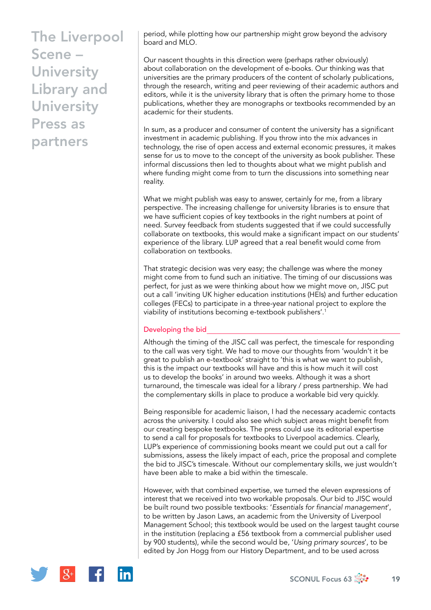# The Liverpool Scene – **University** Library and **University** Press as partners

period, while plotting how our partnership might grow beyond the advisory board and MLO.

Our nascent thoughts in this direction were (perhaps rather obviously) about collaboration on the development of e-books. Our thinking was that universities are the primary producers of the content of scholarly publications, through the research, writing and peer reviewing of their academic authors and editors, while it is the university library that is often the primary home to those publications, whether they are monographs or textbooks recommended by an academic for their students.

In sum, as a producer and consumer of content the university has a significant investment in academic publishing. If you throw into the mix advances in technology, the rise of open access and external economic pressures, it makes sense for us to move to the concept of the university as book publisher. These informal discussions then led to thoughts about what we might publish and where funding might come from to turn the discussions into something near reality.

What we might publish was easy to answer, certainly for me, from a library perspective. The increasing challenge for university libraries is to ensure that we have sufficient copies of key textbooks in the right numbers at point of need. Survey feedback from students suggested that if we could successfully collaborate on textbooks, this would make a significant impact on our students' experience of the library. LUP agreed that a real benefit would come from collaboration on textbooks.

That strategic decision was very easy; the challenge was where the money might come from to fund such an initiative. The timing of our discussions was perfect, for just as we were thinking about how we might move on, JISC put out a call 'inviting UK higher education institutions (HEIs) and further education colleges (FECs) to participate in a three-year national project to explore the viability of institutions becoming e-textbook publishers'.<sup>1</sup>

### Developing the bid

Although the timing of the JISC call was perfect, the timescale for responding to the call was very tight. We had to move our thoughts from 'wouldn't it be great to publish an e-textbook' straight to 'this is what we want to publish, this is the impact our textbooks will have and this is how much it will cost us to develop the books' in around two weeks. Although it was a short turnaround, the timescale was ideal for a library / press partnership. We had the complementary skills in place to produce a workable bid very quickly.

Being responsible for academic liaison, I had the necessary academic contacts across the university. I could also see which subject areas might benefit from our creating bespoke textbooks. The press could use its editorial expertise to send a call for proposals for textbooks to Liverpool academics. Clearly, LUP's experience of commissioning books meant we could put out a call for submissions, assess the likely impact of each, price the proposal and complete the bid to JISC's timescale. Without our complementary skills, we just wouldn't have been able to make a bid within the timescale.

However, with that combined expertise, we turned the eleven expressions of interest that we received into two workable proposals. Our bid to JISC would be built round two possible textbooks: '*Essentials for financial management*', to be written by Jason Laws, an academic from the University of Liverpool Management School; this textbook would be used on the largest taught course in the institution (replacing a £56 textbook from a commercial publisher used by 900 students), while the second would be, '*Using primary sources*', to be edited by Jon Hogg from our History Department, and to be used across